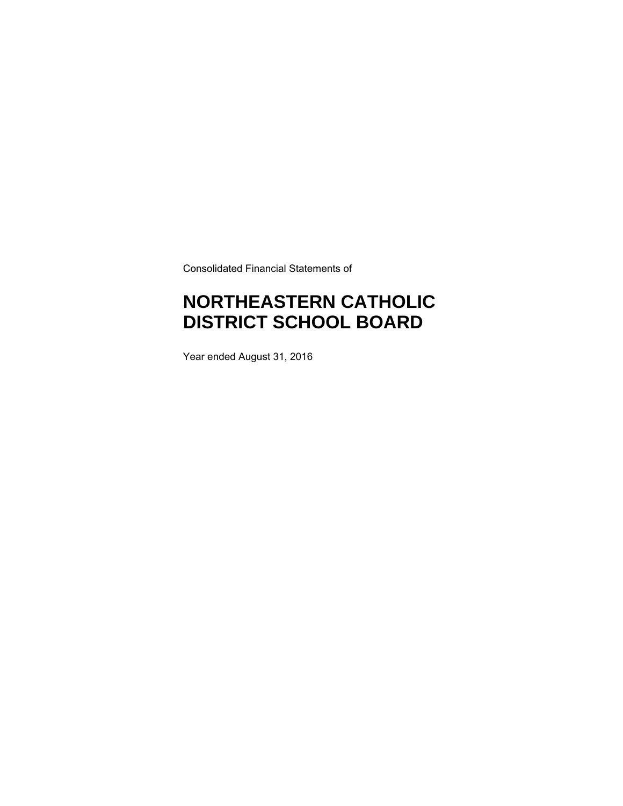Consolidated Financial Statements of

## **NORTHEASTERN CATHOLIC DISTRICT SCHOOL BOARD**

Year ended August 31, 2016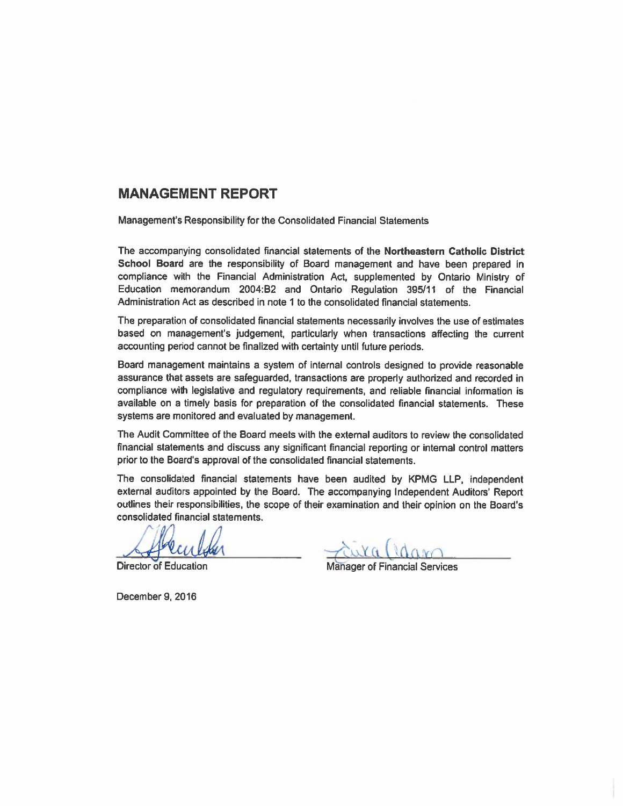### **MANAGEMENT REPORT**

Management's Responsibility for the Consolidated Financial Statements

The accompanying consolidated financial statements of the Northeastern Catholic District School Board are the responsibility of Board management and have been prepared in compliance with the Financial Administration Act, supplemented by Ontario Ministry of Education memorandum 2004:B2 and Ontario Regulation 395/11 of the Financial Administration Act as described in note 1 to the consolidated financial statements.

The preparation of consolidated financial statements necessarily involves the use of estimates based on management's judgement, particularly when transactions affecting the current accounting period cannot be finalized with certainty until future periods.

Board management maintains a system of internal controls designed to provide reasonable assurance that assets are safeguarded, transactions are properly authorized and recorded in compliance with legislative and regulatory requirements, and reliable financial information is available on a timely basis for preparation of the consolidated financial statements. These systems are monitored and evaluated by management.

The Audit Committee of the Board meets with the external auditors to review the consolidated financial statements and discuss any significant financial reporting or internal control matters prior to the Board's approval of the consolidated financial statements.

The consolidated financial statements have been audited by KPMG LLP, independent external auditors appointed by the Board. The accompanying Independent Auditors' Report outlines their responsibilities, the scope of their examination and their opinion on the Board's consolidated financial statements.

**Director of Education** 

**Manager of Financial Services** 

December 9, 2016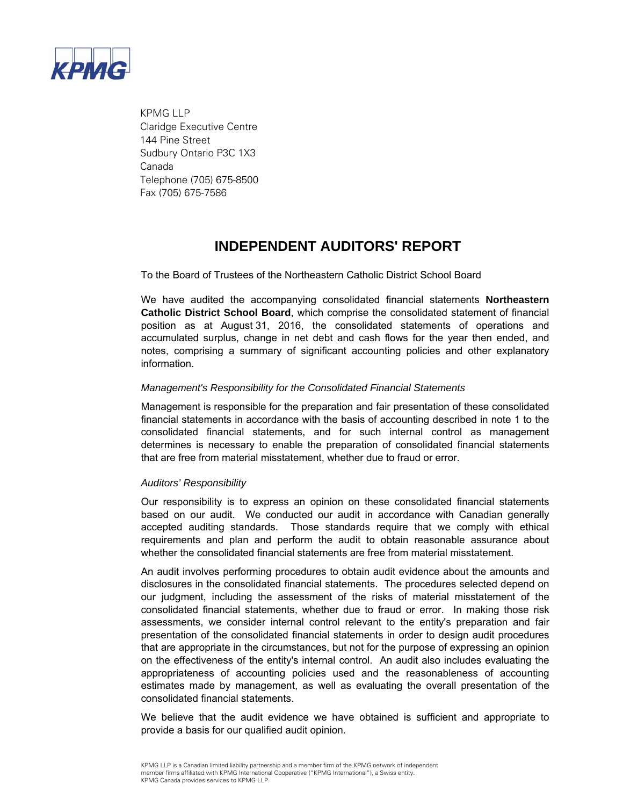

 KPMG LLP Claridge Executive Centre 144 Pine Street Sudbury Ontario P3C 1X3 Canada Telephone (705) 675-8500 Fax (705) 675-7586

### **INDEPENDENT AUDITORS' REPORT**

To the Board of Trustees of the Northeastern Catholic District School Board

We have audited the accompanying consolidated financial statements **Northeastern Catholic District School Board**, which comprise the consolidated statement of financial position as at August 31, 2016, the consolidated statements of operations and accumulated surplus, change in net debt and cash flows for the year then ended, and notes, comprising a summary of significant accounting policies and other explanatory information.

#### *Management's Responsibility for the Consolidated Financial Statements*

Management is responsible for the preparation and fair presentation of these consolidated financial statements in accordance with the basis of accounting described in note 1 to the consolidated financial statements, and for such internal control as management determines is necessary to enable the preparation of consolidated financial statements that are free from material misstatement, whether due to fraud or error.

#### *Auditors' Responsibility*

Our responsibility is to express an opinion on these consolidated financial statements based on our audit. We conducted our audit in accordance with Canadian generally accepted auditing standards. Those standards require that we comply with ethical requirements and plan and perform the audit to obtain reasonable assurance about whether the consolidated financial statements are free from material misstatement.

An audit involves performing procedures to obtain audit evidence about the amounts and disclosures in the consolidated financial statements. The procedures selected depend on our judgment, including the assessment of the risks of material misstatement of the consolidated financial statements, whether due to fraud or error. In making those risk assessments, we consider internal control relevant to the entity's preparation and fair presentation of the consolidated financial statements in order to design audit procedures that are appropriate in the circumstances, but not for the purpose of expressing an opinion on the effectiveness of the entity's internal control. An audit also includes evaluating the appropriateness of accounting policies used and the reasonableness of accounting estimates made by management, as well as evaluating the overall presentation of the consolidated financial statements.

We believe that the audit evidence we have obtained is sufficient and appropriate to provide a basis for our qualified audit opinion.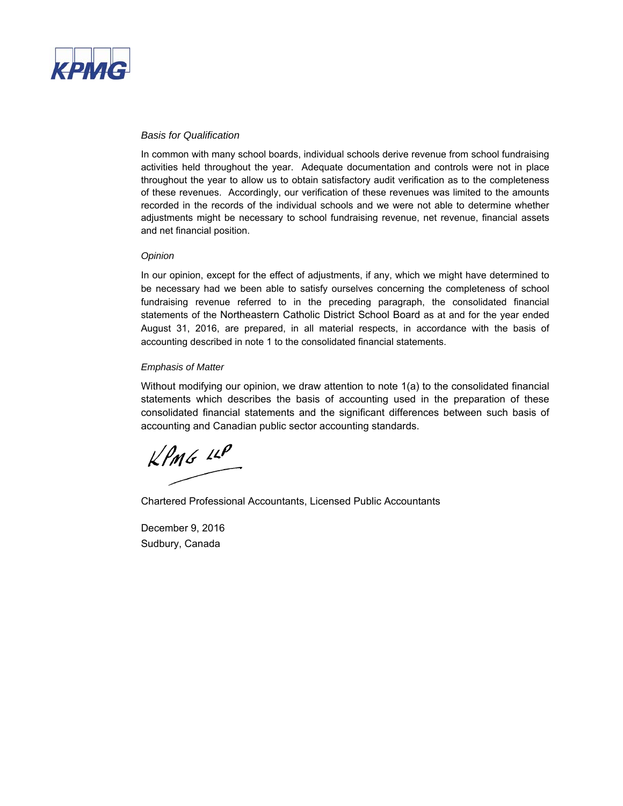

#### *Basis for Qualification*

In common with many school boards, individual schools derive revenue from school fundraising activities held throughout the year. Adequate documentation and controls were not in place throughout the year to allow us to obtain satisfactory audit verification as to the completeness of these revenues. Accordingly, our verification of these revenues was limited to the amounts recorded in the records of the individual schools and we were not able to determine whether adjustments might be necessary to school fundraising revenue, net revenue, financial assets and net financial position.

#### *Opinion*

In our opinion, except for the effect of adjustments, if any, which we might have determined to be necessary had we been able to satisfy ourselves concerning the completeness of school fundraising revenue referred to in the preceding paragraph, the consolidated financial statements of the Northeastern Catholic District School Board as at and for the year ended August 31, 2016, are prepared, in all material respects, in accordance with the basis of accounting described in note 1 to the consolidated financial statements.

#### *Emphasis of Matter*

Without modifying our opinion, we draw attention to note 1(a) to the consolidated financial statements which describes the basis of accounting used in the preparation of these consolidated financial statements and the significant differences between such basis of accounting and Canadian public sector accounting standards.

 $KPMG$  14P

Chartered Professional Accountants, Licensed Public Accountants

December 9, 2016 Sudbury, Canada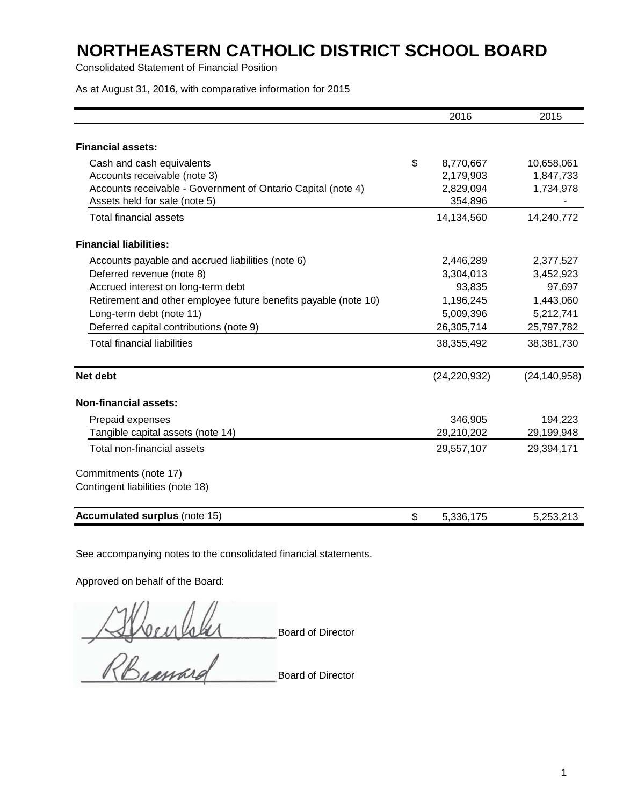Consolidated Statement of Financial Position

As at August 31, 2016, with comparative information for 2015

|                                                                 | 2016            | 2015           |
|-----------------------------------------------------------------|-----------------|----------------|
|                                                                 |                 |                |
| <b>Financial assets:</b>                                        |                 |                |
| Cash and cash equivalents                                       | \$<br>8,770,667 | 10,658,061     |
| Accounts receivable (note 3)                                    | 2,179,903       | 1,847,733      |
| Accounts receivable - Government of Ontario Capital (note 4)    | 2,829,094       | 1,734,978      |
| Assets held for sale (note 5)                                   | 354,896         |                |
| Total financial assets                                          | 14,134,560      | 14,240,772     |
| <b>Financial liabilities:</b>                                   |                 |                |
| Accounts payable and accrued liabilities (note 6)               | 2,446,289       | 2,377,527      |
| Deferred revenue (note 8)                                       | 3,304,013       | 3,452,923      |
| Accrued interest on long-term debt                              | 93,835          | 97,697         |
| Retirement and other employee future benefits payable (note 10) | 1,196,245       | 1,443,060      |
| Long-term debt (note 11)                                        | 5,009,396       | 5,212,741      |
| Deferred capital contributions (note 9)                         | 26,305,714      | 25,797,782     |
| <b>Total financial liabilities</b>                              | 38,355,492      | 38,381,730     |
| Net debt                                                        | (24, 220, 932)  | (24, 140, 958) |
| <b>Non-financial assets:</b>                                    |                 |                |
| Prepaid expenses                                                | 346,905         | 194,223        |
| Tangible capital assets (note 14)                               | 29,210,202      | 29,199,948     |
| Total non-financial assets                                      | 29,557,107      | 29,394,171     |
| Commitments (note 17)                                           |                 |                |
| Contingent liabilities (note 18)                                |                 |                |
| <b>Accumulated surplus (note 15)</b>                            | \$<br>5,336,175 | 5,253,213      |

See accompanying notes to the consolidated financial statements.

Approved on behalf of the Board:

Rhenlin Board of Director Board of Director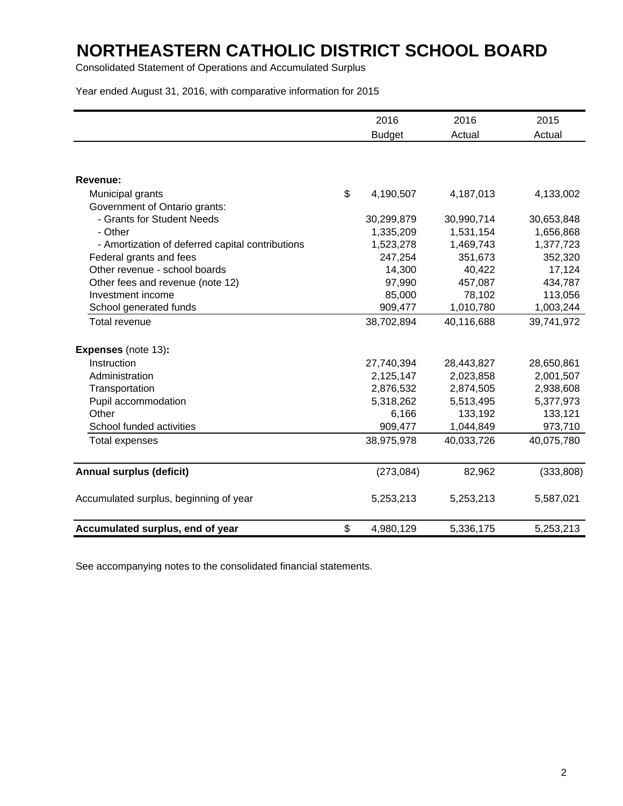Consolidated Statement of Operations and Accumulated Surplus

Year ended August 31, 2016, with comparative information for 2015

|                                                  | 2016            | 2016       | 2015       |
|--------------------------------------------------|-----------------|------------|------------|
|                                                  | <b>Budget</b>   | Actual     | Actual     |
|                                                  |                 |            |            |
| Revenue:                                         |                 |            |            |
| Municipal grants                                 | \$<br>4,190,507 | 4,187,013  | 4,133,002  |
| Government of Ontario grants:                    |                 |            |            |
| - Grants for Student Needs                       | 30,299,879      | 30,990,714 | 30,653,848 |
| - Other                                          | 1,335,209       | 1,531,154  | 1,656,868  |
| - Amortization of deferred capital contributions | 1,523,278       | 1,469,743  | 1,377,723  |
| Federal grants and fees                          | 247,254         | 351,673    | 352,320    |
| Other revenue - school boards                    | 14,300          | 40,422     | 17,124     |
| Other fees and revenue (note 12)                 | 97,990          | 457,087    | 434,787    |
| Investment income                                | 85,000          | 78,102     | 113,056    |
| School generated funds                           | 909,477         | 1,010,780  | 1,003,244  |
| Total revenue                                    | 38,702,894      | 40,116,688 | 39,741,972 |
| <b>Expenses</b> (note 13):                       |                 |            |            |
| Instruction                                      | 27,740,394      | 28,443,827 | 28,650,861 |
| Administration                                   | 2,125,147       | 2,023,858  | 2,001,507  |
| Transportation                                   | 2,876,532       | 2,874,505  | 2,938,608  |
| Pupil accommodation                              | 5,318,262       | 5,513,495  | 5,377,973  |
| Other                                            | 6,166           | 133,192    | 133,121    |
| School funded activities                         | 909,477         | 1,044,849  | 973,710    |
| <b>Total expenses</b>                            | 38,975,978      | 40,033,726 | 40,075,780 |
| <b>Annual surplus (deficit)</b>                  | (273,084)       | 82,962     | (333, 808) |
| Accumulated surplus, beginning of year           | 5,253,213       | 5,253,213  | 5,587,021  |
| Accumulated surplus, end of year                 | \$<br>4,980,129 | 5,336,175  | 5,253,213  |

See accompanying notes to the consolidated financial statements.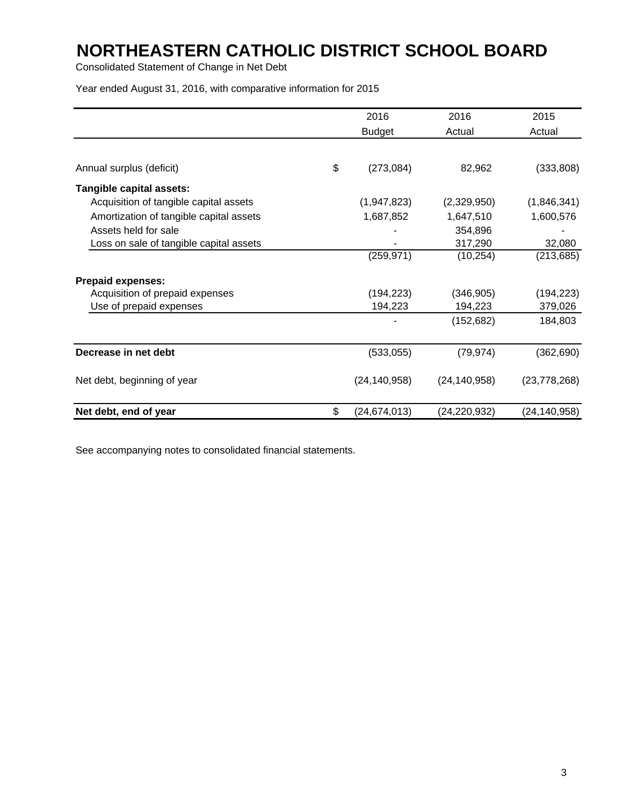Consolidated Statement of Change in Net Debt

Year ended August 31, 2016, with comparative information for 2015

|                                         | 2016                 | 2016           | 2015           |
|-----------------------------------------|----------------------|----------------|----------------|
|                                         | <b>Budget</b>        | Actual         | Actual         |
|                                         |                      |                |                |
| Annual surplus (deficit)                | \$<br>(273,084)      | 82,962         | (333, 808)     |
| Tangible capital assets:                |                      |                |                |
| Acquisition of tangible capital assets  | (1,947,823)          | (2,329,950)    | (1,846,341)    |
| Amortization of tangible capital assets | 1,687,852            | 1,647,510      | 1,600,576      |
| Assets held for sale                    |                      | 354,896        |                |
| Loss on sale of tangible capital assets |                      | 317,290        | 32,080         |
|                                         | (259, 971)           | (10, 254)      | (213, 685)     |
| <b>Prepaid expenses:</b>                |                      |                |                |
| Acquisition of prepaid expenses         | (194, 223)           | (346, 905)     | (194, 223)     |
| Use of prepaid expenses                 | 194,223              | 194,223        | 379,026        |
|                                         |                      | (152, 682)     | 184,803        |
| Decrease in net debt                    | (533,055)            | (79, 974)      | (362, 690)     |
| Net debt, beginning of year             | (24, 140, 958)       | (24, 140, 958) | (23, 778, 268) |
| Net debt, end of year                   | \$<br>(24, 674, 013) | (24, 220, 932) | (24, 140, 958) |

See accompanying notes to consolidated financial statements.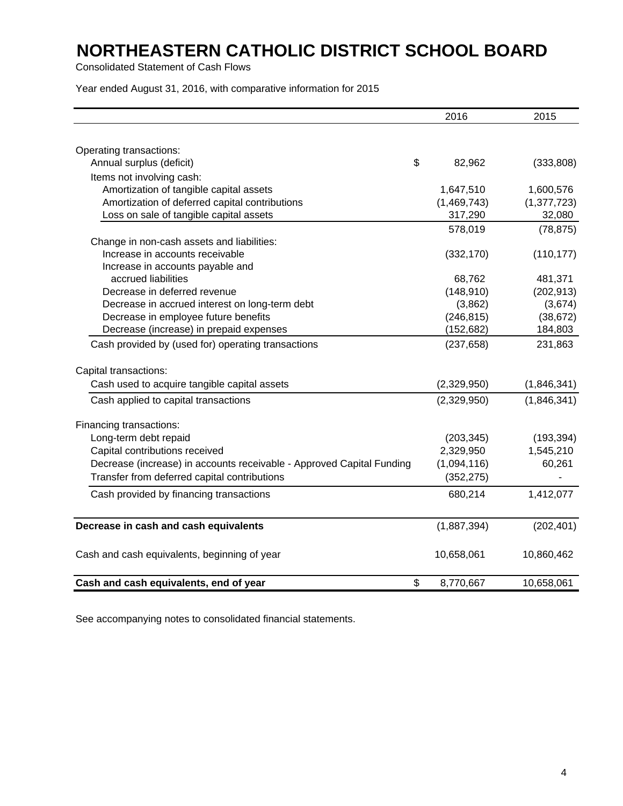Consolidated Statement of Cash Flows

Year ended August 31, 2016, with comparative information for 2015

|                                                                       | 2016                 | 2015                  |
|-----------------------------------------------------------------------|----------------------|-----------------------|
|                                                                       |                      |                       |
| Operating transactions:                                               |                      |                       |
| \$<br>Annual surplus (deficit)                                        | 82,962               | (333, 808)            |
| Items not involving cash:                                             |                      |                       |
| Amortization of tangible capital assets                               | 1,647,510            | 1,600,576             |
| Amortization of deferred capital contributions                        | (1,469,743)          | (1, 377, 723)         |
| Loss on sale of tangible capital assets                               | 317,290              | 32,080                |
|                                                                       | 578,019              | (78, 875)             |
| Change in non-cash assets and liabilities:                            |                      |                       |
| Increase in accounts receivable                                       | (332, 170)           | (110, 177)            |
| Increase in accounts payable and<br>accrued liabilities               |                      |                       |
| Decrease in deferred revenue                                          | 68,762<br>(148, 910) | 481,371<br>(202, 913) |
| Decrease in accrued interest on long-term debt                        | (3,862)              | (3,674)               |
| Decrease in employee future benefits                                  | (246, 815)           | (38, 672)             |
| Decrease (increase) in prepaid expenses                               | (152, 682)           | 184,803               |
| Cash provided by (used for) operating transactions                    | (237, 658)           | 231,863               |
|                                                                       |                      |                       |
| Capital transactions:                                                 |                      |                       |
| Cash used to acquire tangible capital assets                          | (2,329,950)          | (1,846,341)           |
| Cash applied to capital transactions                                  | (2,329,950)          | (1,846,341)           |
| Financing transactions:                                               |                      |                       |
| Long-term debt repaid                                                 | (203, 345)           | (193, 394)            |
| Capital contributions received                                        | 2,329,950            | 1,545,210             |
| Decrease (increase) in accounts receivable - Approved Capital Funding | (1,094,116)          | 60,261                |
| Transfer from deferred capital contributions                          | (352, 275)           |                       |
| Cash provided by financing transactions                               | 680,214              | 1,412,077             |
| Decrease in cash and cash equivalents                                 | (1,887,394)          | (202, 401)            |
| Cash and cash equivalents, beginning of year                          | 10,658,061           | 10,860,462            |
|                                                                       |                      |                       |
| \$<br>Cash and cash equivalents, end of year                          | 8,770,667            | 10,658,061            |

See accompanying notes to consolidated financial statements.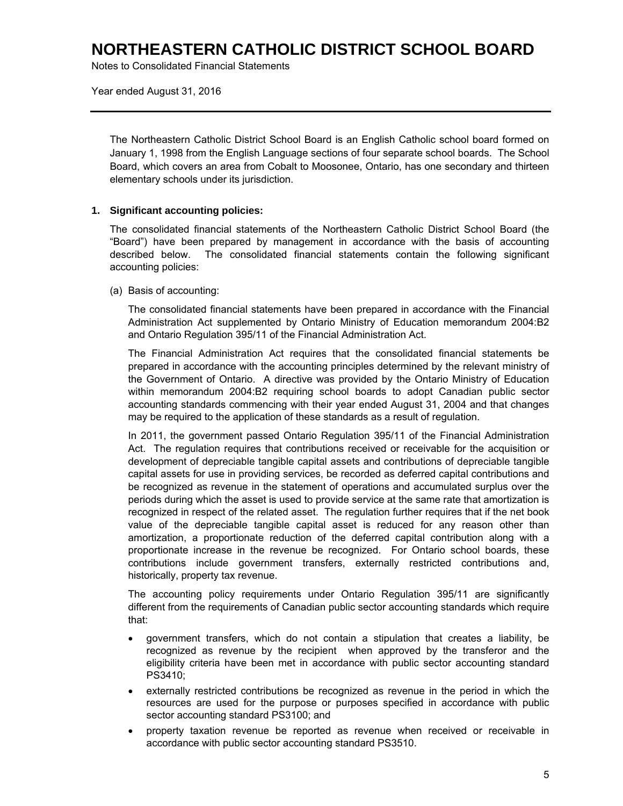Notes to Consolidated Financial Statements

Year ended August 31, 2016

The Northeastern Catholic District School Board is an English Catholic school board formed on January 1, 1998 from the English Language sections of four separate school boards. The School Board, which covers an area from Cobalt to Moosonee, Ontario, has one secondary and thirteen elementary schools under its jurisdiction.

#### **1. Significant accounting policies:**

The consolidated financial statements of the Northeastern Catholic District School Board (the "Board") have been prepared by management in accordance with the basis of accounting described below. The consolidated financial statements contain the following significant accounting policies:

(a) Basis of accounting:

The consolidated financial statements have been prepared in accordance with the Financial Administration Act supplemented by Ontario Ministry of Education memorandum 2004:B2 and Ontario Regulation 395/11 of the Financial Administration Act.

The Financial Administration Act requires that the consolidated financial statements be prepared in accordance with the accounting principles determined by the relevant ministry of the Government of Ontario. A directive was provided by the Ontario Ministry of Education within memorandum 2004:B2 requiring school boards to adopt Canadian public sector accounting standards commencing with their year ended August 31, 2004 and that changes may be required to the application of these standards as a result of regulation.

In 2011, the government passed Ontario Regulation 395/11 of the Financial Administration Act. The regulation requires that contributions received or receivable for the acquisition or development of depreciable tangible capital assets and contributions of depreciable tangible capital assets for use in providing services, be recorded as deferred capital contributions and be recognized as revenue in the statement of operations and accumulated surplus over the periods during which the asset is used to provide service at the same rate that amortization is recognized in respect of the related asset. The regulation further requires that if the net book value of the depreciable tangible capital asset is reduced for any reason other than amortization, a proportionate reduction of the deferred capital contribution along with a proportionate increase in the revenue be recognized. For Ontario school boards, these contributions include government transfers, externally restricted contributions and, historically, property tax revenue.

The accounting policy requirements under Ontario Regulation 395/11 are significantly different from the requirements of Canadian public sector accounting standards which require that:

- government transfers, which do not contain a stipulation that creates a liability, be recognized as revenue by the recipient when approved by the transferor and the eligibility criteria have been met in accordance with public sector accounting standard PS3410;
- externally restricted contributions be recognized as revenue in the period in which the resources are used for the purpose or purposes specified in accordance with public sector accounting standard PS3100; and
- property taxation revenue be reported as revenue when received or receivable in accordance with public sector accounting standard PS3510.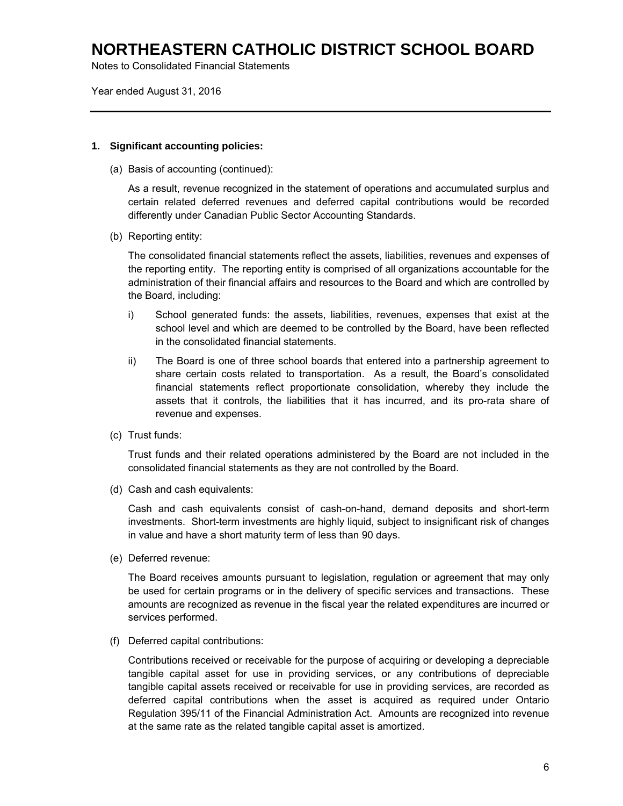Notes to Consolidated Financial Statements

Year ended August 31, 2016

#### **1. Significant accounting policies:**

(a) Basis of accounting (continued):

As a result, revenue recognized in the statement of operations and accumulated surplus and certain related deferred revenues and deferred capital contributions would be recorded differently under Canadian Public Sector Accounting Standards.

(b) Reporting entity:

The consolidated financial statements reflect the assets, liabilities, revenues and expenses of the reporting entity. The reporting entity is comprised of all organizations accountable for the administration of their financial affairs and resources to the Board and which are controlled by the Board, including:

- i) School generated funds: the assets, liabilities, revenues, expenses that exist at the school level and which are deemed to be controlled by the Board, have been reflected in the consolidated financial statements.
- ii) The Board is one of three school boards that entered into a partnership agreement to share certain costs related to transportation. As a result, the Board's consolidated financial statements reflect proportionate consolidation, whereby they include the assets that it controls, the liabilities that it has incurred, and its pro-rata share of revenue and expenses.
- (c) Trust funds:

Trust funds and their related operations administered by the Board are not included in the consolidated financial statements as they are not controlled by the Board.

(d) Cash and cash equivalents:

Cash and cash equivalents consist of cash-on-hand, demand deposits and short-term investments. Short-term investments are highly liquid, subject to insignificant risk of changes in value and have a short maturity term of less than 90 days.

(e) Deferred revenue:

The Board receives amounts pursuant to legislation, regulation or agreement that may only be used for certain programs or in the delivery of specific services and transactions. These amounts are recognized as revenue in the fiscal year the related expenditures are incurred or services performed.

(f) Deferred capital contributions:

Contributions received or receivable for the purpose of acquiring or developing a depreciable tangible capital asset for use in providing services, or any contributions of depreciable tangible capital assets received or receivable for use in providing services, are recorded as deferred capital contributions when the asset is acquired as required under Ontario Regulation 395/11 of the Financial Administration Act. Amounts are recognized into revenue at the same rate as the related tangible capital asset is amortized.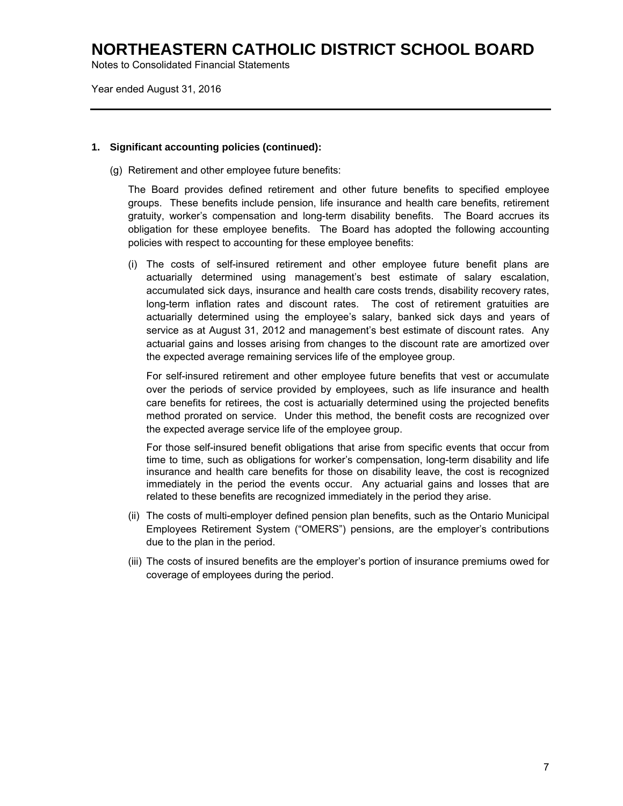Notes to Consolidated Financial Statements

Year ended August 31, 2016

#### **1. Significant accounting policies (continued):**

(g) Retirement and other employee future benefits:

The Board provides defined retirement and other future benefits to specified employee groups. These benefits include pension, life insurance and health care benefits, retirement gratuity, worker's compensation and long-term disability benefits. The Board accrues its obligation for these employee benefits. The Board has adopted the following accounting policies with respect to accounting for these employee benefits:

(i) The costs of self-insured retirement and other employee future benefit plans are actuarially determined using management's best estimate of salary escalation, accumulated sick days, insurance and health care costs trends, disability recovery rates, long-term inflation rates and discount rates. The cost of retirement gratuities are actuarially determined using the employee's salary, banked sick days and years of service as at August 31, 2012 and management's best estimate of discount rates. Any actuarial gains and losses arising from changes to the discount rate are amortized over the expected average remaining services life of the employee group.

For self-insured retirement and other employee future benefits that vest or accumulate over the periods of service provided by employees, such as life insurance and health care benefits for retirees, the cost is actuarially determined using the projected benefits method prorated on service. Under this method, the benefit costs are recognized over the expected average service life of the employee group.

For those self-insured benefit obligations that arise from specific events that occur from time to time, such as obligations for worker's compensation, long-term disability and life insurance and health care benefits for those on disability leave, the cost is recognized immediately in the period the events occur. Any actuarial gains and losses that are related to these benefits are recognized immediately in the period they arise.

- (ii) The costs of multi-employer defined pension plan benefits, such as the Ontario Municipal Employees Retirement System ("OMERS") pensions, are the employer's contributions due to the plan in the period.
- (iii) The costs of insured benefits are the employer's portion of insurance premiums owed for coverage of employees during the period.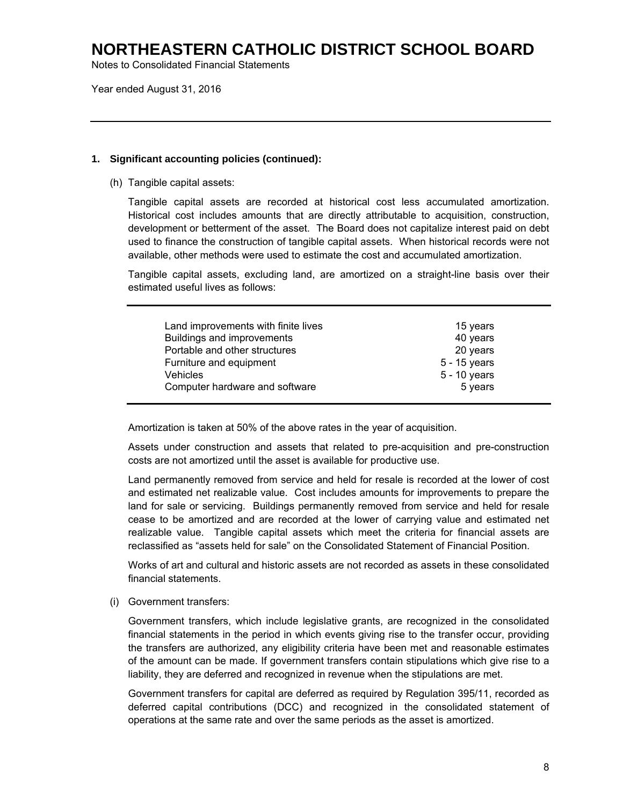Notes to Consolidated Financial Statements

Year ended August 31, 2016

#### **1. Significant accounting policies (continued):**

(h) Tangible capital assets:

Tangible capital assets are recorded at historical cost less accumulated amortization. Historical cost includes amounts that are directly attributable to acquisition, construction, development or betterment of the asset. The Board does not capitalize interest paid on debt used to finance the construction of tangible capital assets. When historical records were not available, other methods were used to estimate the cost and accumulated amortization.

Tangible capital assets, excluding land, are amortized on a straight-line basis over their estimated useful lives as follows:

| 15 years     |
|--------------|
| 40 years     |
| 20 years     |
| 5 - 15 years |
| 5 - 10 years |
| 5 years      |
|              |

Amortization is taken at 50% of the above rates in the year of acquisition.

Assets under construction and assets that related to pre-acquisition and pre-construction costs are not amortized until the asset is available for productive use.

Land permanently removed from service and held for resale is recorded at the lower of cost and estimated net realizable value. Cost includes amounts for improvements to prepare the land for sale or servicing. Buildings permanently removed from service and held for resale cease to be amortized and are recorded at the lower of carrying value and estimated net realizable value. Tangible capital assets which meet the criteria for financial assets are reclassified as "assets held for sale" on the Consolidated Statement of Financial Position.

Works of art and cultural and historic assets are not recorded as assets in these consolidated financial statements.

(i) Government transfers:

Government transfers, which include legislative grants, are recognized in the consolidated financial statements in the period in which events giving rise to the transfer occur, providing the transfers are authorized, any eligibility criteria have been met and reasonable estimates of the amount can be made. If government transfers contain stipulations which give rise to a liability, they are deferred and recognized in revenue when the stipulations are met.

Government transfers for capital are deferred as required by Regulation 395/11, recorded as deferred capital contributions (DCC) and recognized in the consolidated statement of operations at the same rate and over the same periods as the asset is amortized.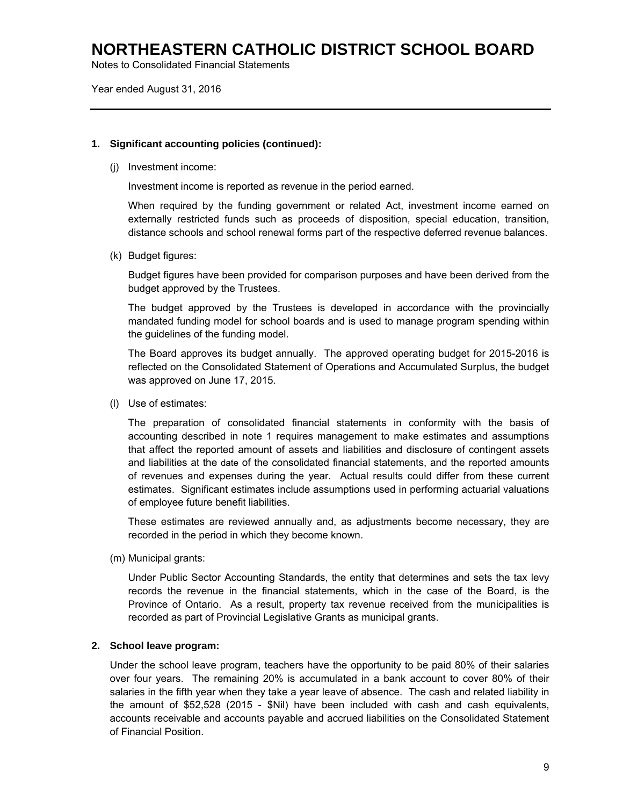Notes to Consolidated Financial Statements

Year ended August 31, 2016

#### **1. Significant accounting policies (continued):**

(j) Investment income:

Investment income is reported as revenue in the period earned.

When required by the funding government or related Act, investment income earned on externally restricted funds such as proceeds of disposition, special education, transition, distance schools and school renewal forms part of the respective deferred revenue balances.

(k) Budget figures:

Budget figures have been provided for comparison purposes and have been derived from the budget approved by the Trustees.

The budget approved by the Trustees is developed in accordance with the provincially mandated funding model for school boards and is used to manage program spending within the guidelines of the funding model.

The Board approves its budget annually. The approved operating budget for 2015-2016 is reflected on the Consolidated Statement of Operations and Accumulated Surplus, the budget was approved on June 17, 2015.

(l) Use of estimates:

The preparation of consolidated financial statements in conformity with the basis of accounting described in note 1 requires management to make estimates and assumptions that affect the reported amount of assets and liabilities and disclosure of contingent assets and liabilities at the date of the consolidated financial statements, and the reported amounts of revenues and expenses during the year. Actual results could differ from these current estimates. Significant estimates include assumptions used in performing actuarial valuations of employee future benefit liabilities.

These estimates are reviewed annually and, as adjustments become necessary, they are recorded in the period in which they become known.

(m) Municipal grants:

Under Public Sector Accounting Standards, the entity that determines and sets the tax levy records the revenue in the financial statements, which in the case of the Board, is the Province of Ontario. As a result, property tax revenue received from the municipalities is recorded as part of Provincial Legislative Grants as municipal grants.

#### **2. School leave program:**

Under the school leave program, teachers have the opportunity to be paid 80% of their salaries over four years. The remaining 20% is accumulated in a bank account to cover 80% of their salaries in the fifth year when they take a year leave of absence. The cash and related liability in the amount of \$52,528 (2015 - \$Nil) have been included with cash and cash equivalents, accounts receivable and accounts payable and accrued liabilities on the Consolidated Statement of Financial Position.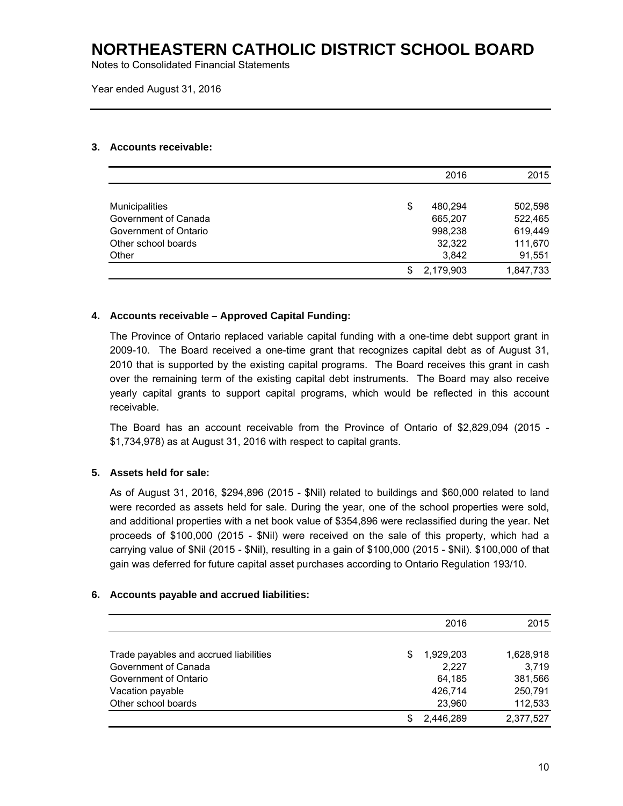Notes to Consolidated Financial Statements

Year ended August 31, 2016

#### **3. Accounts receivable:**

|                       |    | 2016      | 2015      |
|-----------------------|----|-----------|-----------|
| <b>Municipalities</b> | \$ | 480.294   | 502,598   |
| Government of Canada  |    | 665,207   | 522,465   |
| Government of Ontario |    | 998,238   | 619,449   |
| Other school boards   |    | 32,322    | 111,670   |
| Other                 |    | 3,842     | 91,551    |
|                       | S  | 2,179,903 | 1,847,733 |

#### **4. Accounts receivable – Approved Capital Funding:**

The Province of Ontario replaced variable capital funding with a one-time debt support grant in 2009-10. The Board received a one-time grant that recognizes capital debt as of August 31, 2010 that is supported by the existing capital programs. The Board receives this grant in cash over the remaining term of the existing capital debt instruments. The Board may also receive yearly capital grants to support capital programs, which would be reflected in this account receivable.

The Board has an account receivable from the Province of Ontario of \$2,829,094 (2015 - \$1,734,978) as at August 31, 2016 with respect to capital grants.

#### **5. Assets held for sale:**

As of August 31, 2016, \$294,896 (2015 - \$Nil) related to buildings and \$60,000 related to land were recorded as assets held for sale. During the year, one of the school properties were sold, and additional properties with a net book value of \$354,896 were reclassified during the year. Net proceeds of \$100,000 (2015 - \$Nil) were received on the sale of this property, which had a carrying value of \$Nil (2015 - \$Nil), resulting in a gain of \$100,000 (2015 - \$Nil). \$100,000 of that gain was deferred for future capital asset purchases according to Ontario Regulation 193/10.

#### **6. Accounts payable and accrued liabilities:**

|                                        |   | 2016      | 2015      |
|----------------------------------------|---|-----------|-----------|
|                                        |   |           |           |
| Trade payables and accrued liabilities | S | 1,929,203 | 1,628,918 |
| Government of Canada                   |   | 2,227     | 3.719     |
| Government of Ontario                  |   | 64,185    | 381,566   |
| Vacation payable                       |   | 426,714   | 250,791   |
| Other school boards                    |   | 23.960    | 112,533   |
|                                        |   | 2,446,289 | 2,377,527 |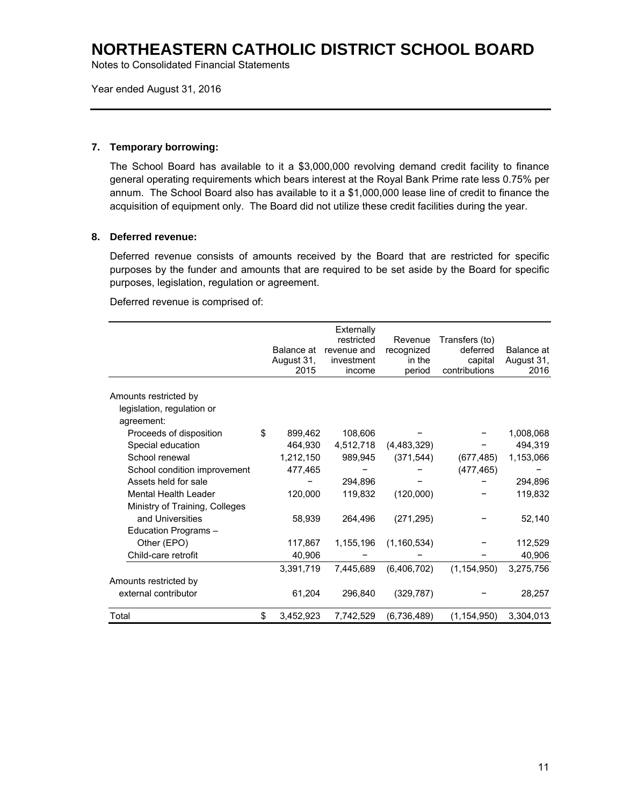Notes to Consolidated Financial Statements

Year ended August 31, 2016

#### **7. Temporary borrowing:**

The School Board has available to it a \$3,000,000 revolving demand credit facility to finance general operating requirements which bears interest at the Royal Bank Prime rate less 0.75% per annum. The School Board also has available to it a \$1,000,000 lease line of credit to finance the acquisition of equipment only. The Board did not utilize these credit facilities during the year.

#### **8. Deferred revenue:**

Deferred revenue consists of amounts received by the Board that are restricted for specific purposes by the funder and amounts that are required to be set aside by the Board for specific purposes, legislation, regulation or agreement.

Deferred revenue is comprised of:

|                                          |    | Balance at<br>August 31,<br>2015 | Externally<br>restricted<br>revenue and<br>investment<br>income | Revenue<br>recognized<br>in the<br>period | Transfers (to)<br>deferred<br>capital<br>contributions | Balance at<br>August 31,<br>2016 |
|------------------------------------------|----|----------------------------------|-----------------------------------------------------------------|-------------------------------------------|--------------------------------------------------------|----------------------------------|
| Amounts restricted by                    |    |                                  |                                                                 |                                           |                                                        |                                  |
| legislation, regulation or<br>agreement: |    |                                  |                                                                 |                                           |                                                        |                                  |
| Proceeds of disposition                  | S  | 899,462                          | 108,606                                                         |                                           |                                                        | 1,008,068                        |
| Special education                        |    | 464,930                          | 4,512,718                                                       | (4,483,329)                               |                                                        | 494,319                          |
| School renewal                           |    | 1,212,150                        | 989,945                                                         | (371, 544)                                | (677, 485)                                             | 1,153,066                        |
| School condition improvement             |    | 477,465                          |                                                                 |                                           | (477, 465)                                             |                                  |
| Assets held for sale                     |    |                                  | 294,896                                                         |                                           |                                                        | 294,896                          |
| <b>Mental Health Leader</b>              |    | 120,000                          | 119,832                                                         | (120,000)                                 |                                                        | 119,832                          |
| Ministry of Training, Colleges           |    |                                  |                                                                 |                                           |                                                        |                                  |
| and Universities                         |    | 58,939                           | 264,496                                                         | (271, 295)                                |                                                        | 52,140                           |
| Education Programs -                     |    |                                  |                                                                 |                                           |                                                        |                                  |
| Other (EPO)                              |    | 117,867                          | 1,155,196                                                       | (1, 160, 534)                             |                                                        | 112,529                          |
| Child-care retrofit                      |    | 40,906                           |                                                                 |                                           |                                                        | 40,906                           |
|                                          |    | 3,391,719                        | 7,445,689                                                       | (6,406,702)                               | (1, 154, 950)                                          | 3,275,756                        |
| Amounts restricted by                    |    |                                  |                                                                 |                                           |                                                        |                                  |
| external contributor                     |    | 61,204                           | 296,840                                                         | (329, 787)                                |                                                        | 28,257                           |
| Total                                    | \$ | 3,452,923                        | 7.742.529                                                       | (6,736,489)                               | (1, 154, 950)                                          | 3,304,013                        |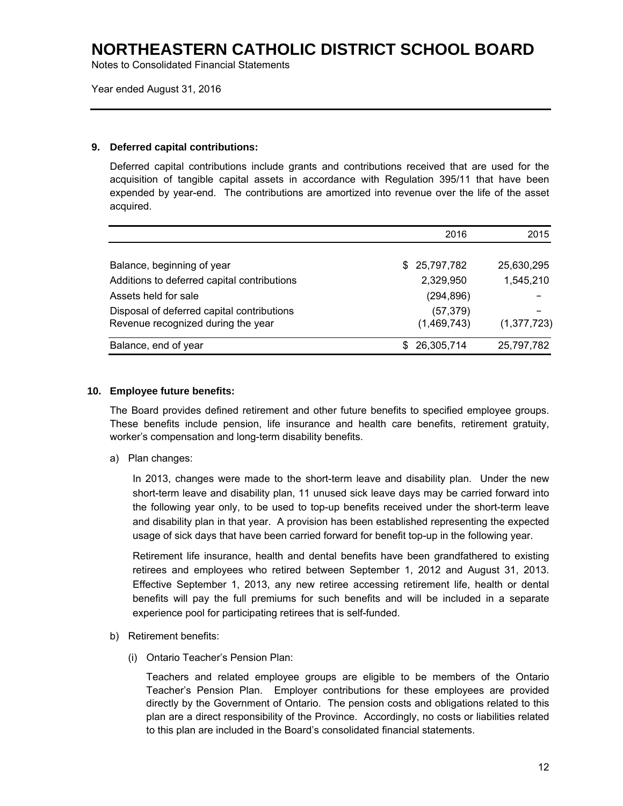Notes to Consolidated Financial Statements

Year ended August 31, 2016

#### **9. Deferred capital contributions:**

Deferred capital contributions include grants and contributions received that are used for the acquisition of tangible capital assets in accordance with Regulation 395/11 that have been expended by year-end. The contributions are amortized into revenue over the life of the asset acquired.

|                                             | 2016              | 2015        |
|---------------------------------------------|-------------------|-------------|
|                                             |                   |             |
| Balance, beginning of year                  | \$ 25,797,782     | 25,630,295  |
| Additions to deferred capital contributions | 2,329,950         | 1,545,210   |
| Assets held for sale                        | (294,896)         |             |
| Disposal of deferred capital contributions  | (57, 379)         |             |
| Revenue recognized during the year          | (1,469,743)       | (1,377,723) |
| Balance, end of year                        | 26,305,714<br>SS. | 25,797,782  |

#### **10. Employee future benefits:**

The Board provides defined retirement and other future benefits to specified employee groups. These benefits include pension, life insurance and health care benefits, retirement gratuity, worker's compensation and long-term disability benefits.

a) Plan changes:

In 2013, changes were made to the short-term leave and disability plan. Under the new short-term leave and disability plan, 11 unused sick leave days may be carried forward into the following year only, to be used to top-up benefits received under the short-term leave and disability plan in that year. A provision has been established representing the expected usage of sick days that have been carried forward for benefit top-up in the following year.

Retirement life insurance, health and dental benefits have been grandfathered to existing retirees and employees who retired between September 1, 2012 and August 31, 2013. Effective September 1, 2013, any new retiree accessing retirement life, health or dental benefits will pay the full premiums for such benefits and will be included in a separate experience pool for participating retirees that is self-funded.

- b) Retirement benefits:
	- (i) Ontario Teacher's Pension Plan:

Teachers and related employee groups are eligible to be members of the Ontario Teacher's Pension Plan. Employer contributions for these employees are provided directly by the Government of Ontario. The pension costs and obligations related to this plan are a direct responsibility of the Province. Accordingly, no costs or liabilities related to this plan are included in the Board's consolidated financial statements.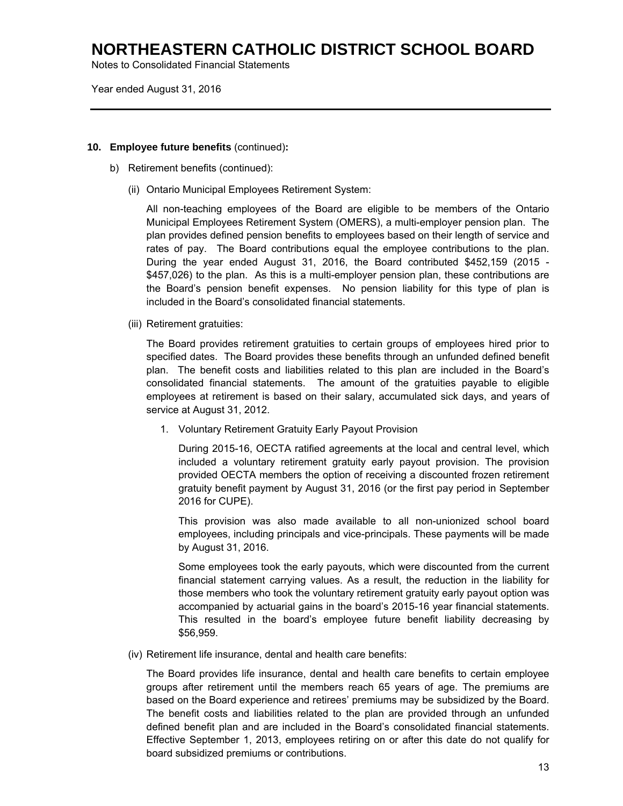Notes to Consolidated Financial Statements

Year ended August 31, 2016

#### **10. Employee future benefits** (continued)**:**

- b) Retirement benefits (continued):
	- (ii) Ontario Municipal Employees Retirement System:

All non-teaching employees of the Board are eligible to be members of the Ontario Municipal Employees Retirement System (OMERS), a multi-employer pension plan. The plan provides defined pension benefits to employees based on their length of service and rates of pay. The Board contributions equal the employee contributions to the plan. During the year ended August 31, 2016, the Board contributed \$452,159 (2015 - \$457,026) to the plan. As this is a multi-employer pension plan, these contributions are the Board's pension benefit expenses. No pension liability for this type of plan is included in the Board's consolidated financial statements.

(iii) Retirement gratuities:

The Board provides retirement gratuities to certain groups of employees hired prior to specified dates. The Board provides these benefits through an unfunded defined benefit plan. The benefit costs and liabilities related to this plan are included in the Board's consolidated financial statements. The amount of the gratuities payable to eligible employees at retirement is based on their salary, accumulated sick days, and years of service at August 31, 2012.

1. Voluntary Retirement Gratuity Early Payout Provision

During 2015-16, OECTA ratified agreements at the local and central level, which included a voluntary retirement gratuity early payout provision. The provision provided OECTA members the option of receiving a discounted frozen retirement gratuity benefit payment by August 31, 2016 (or the first pay period in September 2016 for CUPE).

This provision was also made available to all non-unionized school board employees, including principals and vice-principals. These payments will be made by August 31, 2016.

Some employees took the early payouts, which were discounted from the current financial statement carrying values. As a result, the reduction in the liability for those members who took the voluntary retirement gratuity early payout option was accompanied by actuarial gains in the board's 2015-16 year financial statements. This resulted in the board's employee future benefit liability decreasing by \$56,959.

(iv) Retirement life insurance, dental and health care benefits:

The Board provides life insurance, dental and health care benefits to certain employee groups after retirement until the members reach 65 years of age. The premiums are based on the Board experience and retirees' premiums may be subsidized by the Board. The benefit costs and liabilities related to the plan are provided through an unfunded defined benefit plan and are included in the Board's consolidated financial statements. Effective September 1, 2013, employees retiring on or after this date do not qualify for board subsidized premiums or contributions.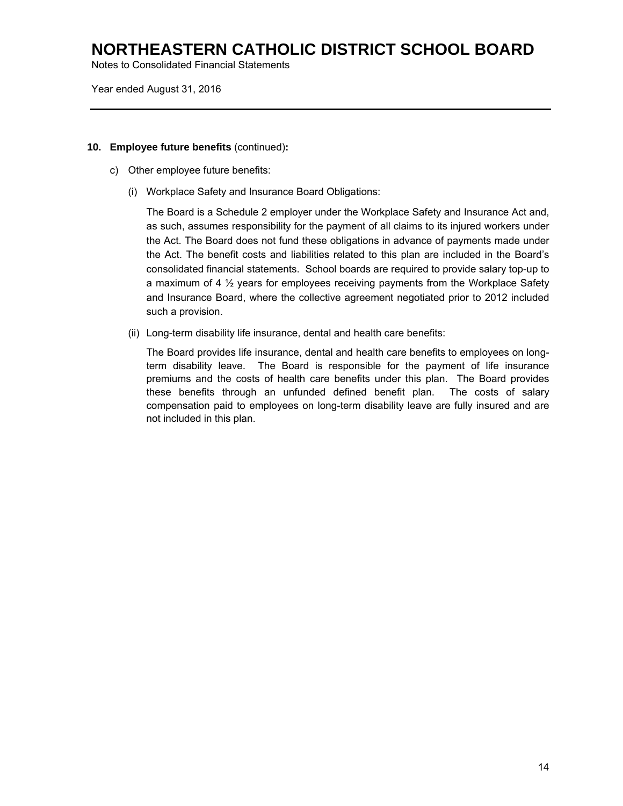Notes to Consolidated Financial Statements

Year ended August 31, 2016

#### **10. Employee future benefits** (continued)**:**

- c) Other employee future benefits:
	- (i) Workplace Safety and Insurance Board Obligations:

The Board is a Schedule 2 employer under the Workplace Safety and Insurance Act and, as such, assumes responsibility for the payment of all claims to its injured workers under the Act. The Board does not fund these obligations in advance of payments made under the Act. The benefit costs and liabilities related to this plan are included in the Board's consolidated financial statements. School boards are required to provide salary top-up to a maximum of 4 ½ years for employees receiving payments from the Workplace Safety and Insurance Board, where the collective agreement negotiated prior to 2012 included such a provision.

(ii) Long-term disability life insurance, dental and health care benefits:

The Board provides life insurance, dental and health care benefits to employees on longterm disability leave. The Board is responsible for the payment of life insurance premiums and the costs of health care benefits under this plan. The Board provides these benefits through an unfunded defined benefit plan. The costs of salary compensation paid to employees on long-term disability leave are fully insured and are not included in this plan.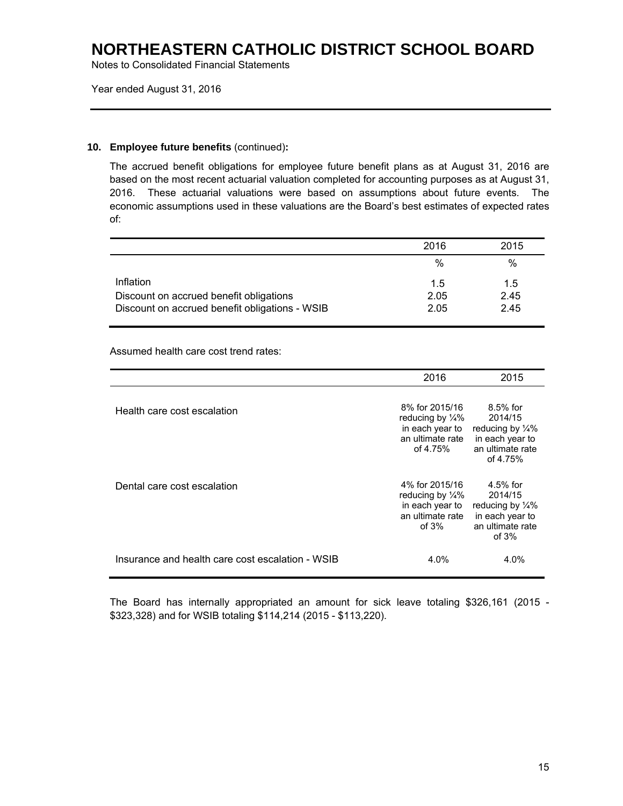Notes to Consolidated Financial Statements

Year ended August 31, 2016

#### **10. Employee future benefits** (continued)**:**

The accrued benefit obligations for employee future benefit plans as at August 31, 2016 are based on the most recent actuarial valuation completed for accounting purposes as at August 31, 2016. These actuarial valuations were based on assumptions about future events. The economic assumptions used in these valuations are the Board's best estimates of expected rates of:

|                                                | 2016 | 2015 |
|------------------------------------------------|------|------|
|                                                | $\%$ | $\%$ |
| Inflation                                      | 1.5  | 1.5  |
| Discount on accrued benefit obligations        | 2.05 | 2.45 |
| Discount on accrued benefit obligations - WSIB | 2.05 | 2.45 |

Assumed health care cost trend rates:

|                                                  | 2016                                                                                             | 2015                                                                                                     |
|--------------------------------------------------|--------------------------------------------------------------------------------------------------|----------------------------------------------------------------------------------------------------------|
| Health care cost escalation                      | 8% for 2015/16<br>reducing by $\frac{1}{4}\%$<br>in each year to<br>an ultimate rate<br>of 4.75% | $8.5\%$ for<br>2014/15<br>reducing by $\frac{1}{4}$ %<br>in each year to<br>an ultimate rate<br>of 4.75% |
| Dental care cost escalation                      | 4% for 2015/16<br>reducing by $\frac{1}{4}\%$<br>in each year to<br>an ultimate rate<br>of 3%    | 4.5% for<br>2014/15<br>reducing by $\frac{1}{4}\%$<br>in each year to<br>an ultimate rate<br>of $3%$     |
| Insurance and health care cost escalation - WSIB | 4.0%                                                                                             | 4.0%                                                                                                     |

The Board has internally appropriated an amount for sick leave totaling \$326,161 (2015 - \$323,328) and for WSIB totaling \$114,214 (2015 - \$113,220).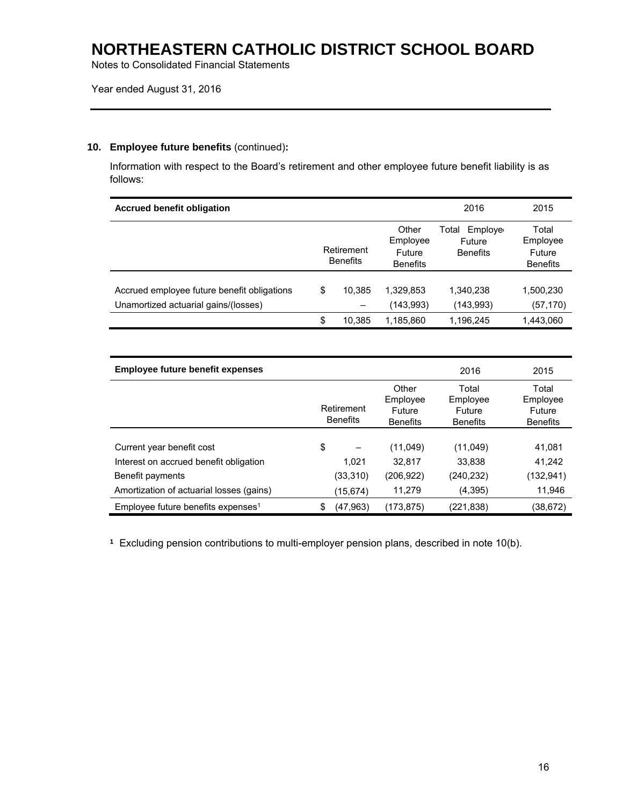Notes to Consolidated Financial Statements

Year ended August 31, 2016

### **10. Employee future benefits** (continued)**:**

Information with respect to the Board's retirement and other employee future benefit liability is as follows:

| <b>Accrued benefit obligation</b>                                                   |                               |                                                | 2016                                          | 2015                                           |
|-------------------------------------------------------------------------------------|-------------------------------|------------------------------------------------|-----------------------------------------------|------------------------------------------------|
|                                                                                     | Retirement<br><b>Benefits</b> | Other<br>Employee<br>Future<br><b>Benefits</b> | Employe<br>Total<br>Future<br><b>Benefits</b> | Total<br>Employee<br>Future<br><b>Benefits</b> |
| Accrued employee future benefit obligations<br>Unamortized actuarial gains/(losses) | \$<br>10.385                  | 1.329.853<br>(143,993)                         | 1,340,238<br>(143,993)                        | 1,500,230<br>(57, 170)                         |
|                                                                                     | \$<br>10.385                  | 1,185,860                                      | 1,196,245                                     | 1,443,060                                      |

| <b>Employee future benefit expenses</b>        |                               |                                                | 2016                                           | 2015                                           |
|------------------------------------------------|-------------------------------|------------------------------------------------|------------------------------------------------|------------------------------------------------|
|                                                | Retirement<br><b>Benefits</b> | Other<br>Employee<br>Future<br><b>Benefits</b> | Total<br>Employee<br>Future<br><b>Benefits</b> | Total<br>Employee<br>Future<br><b>Benefits</b> |
|                                                |                               |                                                |                                                |                                                |
| Current year benefit cost                      | \$<br>-                       | (11,049)                                       | (11,049)                                       | 41,081                                         |
| Interest on accrued benefit obligation         | 1.021                         | 32.817                                         | 33.838                                         | 41,242                                         |
| Benefit payments                               | (33,310)                      | (206, 922)                                     | (240, 232)                                     | (132,941)                                      |
| Amortization of actuarial losses (gains)       | (15,674)                      | 11,279                                         | (4,395)                                        | 11,946                                         |
| Employee future benefits expenses <sup>1</sup> | \$<br>(47, 963)               | (173, 875)                                     | (221, 838)                                     | (38,672)                                       |

**1** Excluding pension contributions to multi-employer pension plans, described in note 10(b).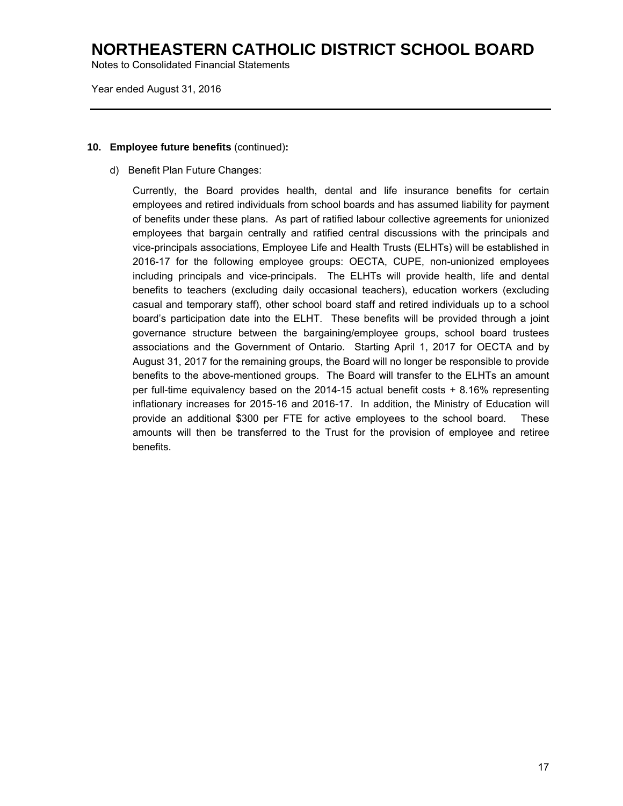Notes to Consolidated Financial Statements

Year ended August 31, 2016

#### **10. Employee future benefits** (continued)**:**

d) Benefit Plan Future Changes:

Currently, the Board provides health, dental and life insurance benefits for certain employees and retired individuals from school boards and has assumed liability for payment of benefits under these plans. As part of ratified labour collective agreements for unionized employees that bargain centrally and ratified central discussions with the principals and vice-principals associations, Employee Life and Health Trusts (ELHTs) will be established in 2016-17 for the following employee groups: OECTA, CUPE, non-unionized employees including principals and vice-principals. The ELHTs will provide health, life and dental benefits to teachers (excluding daily occasional teachers), education workers (excluding casual and temporary staff), other school board staff and retired individuals up to a school board's participation date into the ELHT. These benefits will be provided through a joint governance structure between the bargaining/employee groups, school board trustees associations and the Government of Ontario. Starting April 1, 2017 for OECTA and by August 31, 2017 for the remaining groups, the Board will no longer be responsible to provide benefits to the above-mentioned groups. The Board will transfer to the ELHTs an amount per full-time equivalency based on the 2014-15 actual benefit costs + 8.16% representing inflationary increases for 2015-16 and 2016-17. In addition, the Ministry of Education will provide an additional \$300 per FTE for active employees to the school board. These amounts will then be transferred to the Trust for the provision of employee and retiree benefits.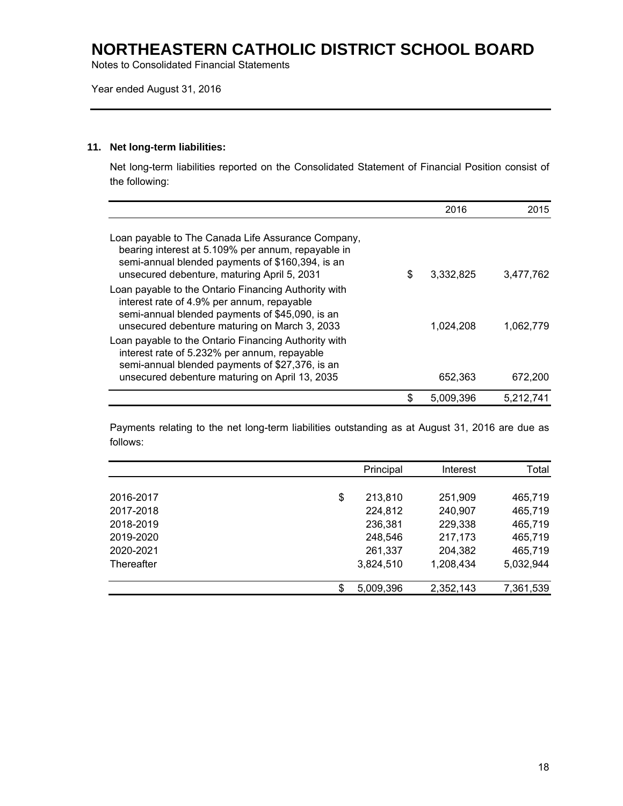Notes to Consolidated Financial Statements

### **11. Net long-term liabilities:**

Net long-term liabilities reported on the Consolidated Statement of Financial Position consist of the following:

|                                                                                                                                                                                                             | 2016            | 2015      |
|-------------------------------------------------------------------------------------------------------------------------------------------------------------------------------------------------------------|-----------------|-----------|
| Loan payable to The Canada Life Assurance Company,<br>bearing interest at 5.109% per annum, repayable in<br>semi-annual blended payments of \$160,394, is an<br>unsecured debenture, maturing April 5, 2031 | \$<br>3,332,825 | 3,477,762 |
| Loan payable to the Ontario Financing Authority with<br>interest rate of 4.9% per annum, repayable<br>semi-annual blended payments of \$45,090, is an<br>unsecured debenture maturing on March 3, 2033      | 1,024,208       | 1.062.779 |
| Loan payable to the Ontario Financing Authority with<br>interest rate of 5.232% per annum, repayable<br>semi-annual blended payments of \$27,376, is an<br>unsecured debenture maturing on April 13, 2035   | 652,363         | 672.200   |
|                                                                                                                                                                                                             | \$<br>5.009.396 | 5,212,741 |

Payments relating to the net long-term liabilities outstanding as at August 31, 2016 are due as follows:

|            | Principal     | Interest  | Total     |
|------------|---------------|-----------|-----------|
|            |               |           |           |
| 2016-2017  | \$<br>213,810 | 251,909   | 465,719   |
| 2017-2018  | 224,812       | 240,907   | 465,719   |
| 2018-2019  | 236,381       | 229,338   | 465,719   |
| 2019-2020  | 248,546       | 217,173   | 465,719   |
| 2020-2021  | 261,337       | 204.382   | 465,719   |
| Thereafter | 3,824,510     | 1,208,434 | 5,032,944 |
|            | 5,009,396     | 2,352,143 | 7,361,539 |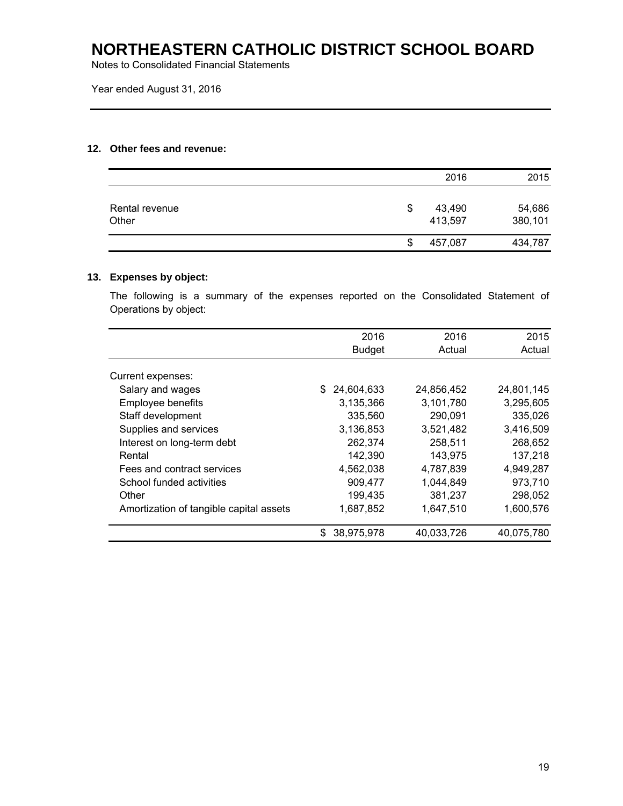Notes to Consolidated Financial Statements

Year ended August 31, 2016

#### **12. Other fees and revenue:**

|                         | 2016                    | 2015              |
|-------------------------|-------------------------|-------------------|
| Rental revenue<br>Other | \$<br>43,490<br>413,597 | 54,686<br>380,101 |
|                         | \$<br>457,087           | 434,787           |

#### **13. Expenses by object:**

The following is a summary of the expenses reported on the Consolidated Statement of Operations by object:

|                                         | 2016             | 2016       | 2015       |
|-----------------------------------------|------------------|------------|------------|
|                                         | <b>Budget</b>    | Actual     | Actual     |
| Current expenses:                       |                  |            |            |
| Salary and wages                        | 24,604,633<br>S  | 24,856,452 | 24,801,145 |
| <b>Employee benefits</b>                | 3,135,366        | 3,101,780  | 3,295,605  |
| Staff development                       | 335,560          | 290,091    | 335,026    |
| Supplies and services                   | 3,136,853        | 3,521,482  | 3,416,509  |
| Interest on long-term debt              | 262,374          | 258,511    | 268,652    |
| Rental                                  | 142,390          | 143,975    | 137,218    |
| Fees and contract services              | 4,562,038        | 4,787,839  | 4,949,287  |
| School funded activities                | 909,477          | 1,044,849  | 973,710    |
| Other                                   | 199,435          | 381,237    | 298,052    |
| Amortization of tangible capital assets | 1,687,852        | 1,647,510  | 1,600,576  |
|                                         | \$<br>38,975,978 | 40,033,726 | 40,075,780 |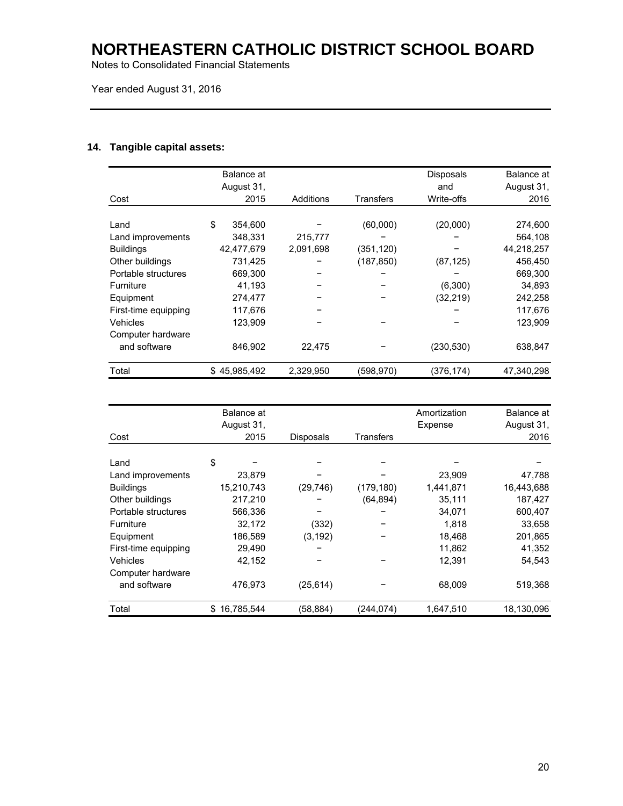Notes to Consolidated Financial Statements

Year ended August 31, 2016

### **14. Tangible capital assets:**

|                      | Balance at<br>August 31, |           |                  | <b>Disposals</b><br>and | Balance at<br>August 31, |
|----------------------|--------------------------|-----------|------------------|-------------------------|--------------------------|
| Cost                 | 2015                     | Additions | <b>Transfers</b> | Write-offs              | 2016                     |
|                      |                          |           |                  |                         |                          |
| Land                 | \$<br>354,600            |           | (60,000)         | (20,000)                | 274,600                  |
| Land improvements    | 348,331                  | 215,777   |                  |                         | 564,108                  |
| <b>Buildings</b>     | 42,477,679               | 2,091,698 | (351, 120)       |                         | 44,218,257               |
| Other buildings      | 731,425                  |           | (187, 850)       | (87, 125)               | 456,450                  |
| Portable structures  | 669,300                  |           |                  |                         | 669,300                  |
| Furniture            | 41,193                   |           |                  | (6,300)                 | 34,893                   |
| Equipment            | 274,477                  |           |                  | (32, 219)               | 242,258                  |
| First-time equipping | 117,676                  |           |                  |                         | 117,676                  |
| Vehicles             | 123,909                  |           |                  |                         | 123,909                  |
| Computer hardware    |                          |           |                  |                         |                          |
| and software         | 846,902                  | 22,475    |                  | (230, 530)              | 638,847                  |
| Total                | \$<br>45,985,492         | 2,329,950 | (598, 970)       | (376,174)               | 47,340,298               |

|                      | Balance at      |                  |            | Amortization | Balance at |
|----------------------|-----------------|------------------|------------|--------------|------------|
|                      | August 31,      |                  |            | Expense      | August 31, |
| Cost                 | 2015            | <b>Disposals</b> | Transfers  |              | 2016       |
| Land                 | \$              |                  |            |              |            |
| Land improvements    | 23,879          |                  |            | 23,909       | 47,788     |
| <b>Buildings</b>     | 15,210,743      | (29, 746)        | (179, 180) | 1,441,871    | 16,443,688 |
| Other buildings      | 217,210         |                  | (64, 894)  | 35,111       | 187,427    |
| Portable structures  | 566,336         |                  |            | 34,071       | 600,407    |
| Furniture            | 32,172          | (332)            |            | 1,818        | 33,658     |
| Equipment            | 186,589         | (3, 192)         |            | 18,468       | 201,865    |
| First-time equipping | 29,490          |                  |            | 11,862       | 41,352     |
| Vehicles             | 42,152          |                  |            | 12,391       | 54,543     |
| Computer hardware    |                 |                  |            |              |            |
| and software         | 476,973         | (25, 614)        |            | 68,009       | 519,368    |
| Total                | 16,785,544<br>S | (58,884)         | (244, 074) | 1,647,510    | 18,130,096 |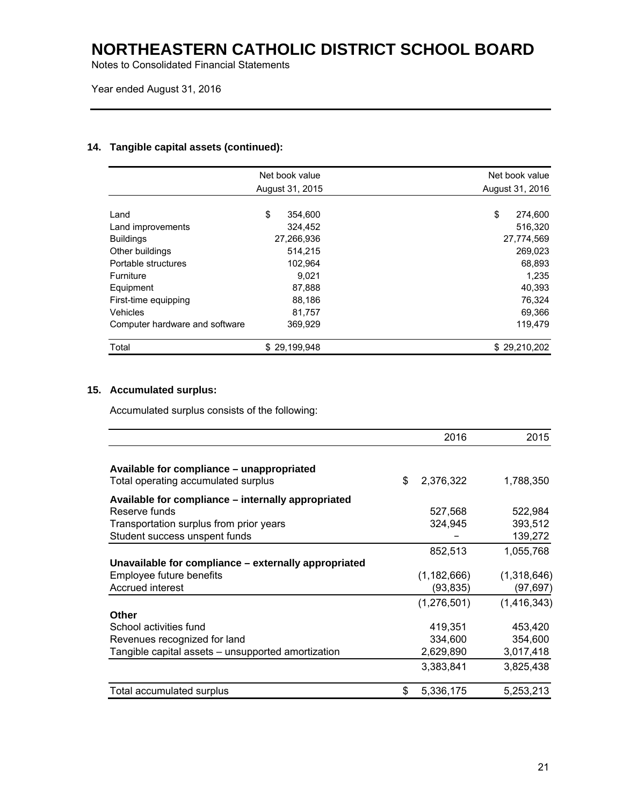Notes to Consolidated Financial Statements

Year ended August 31, 2016

### **14. Tangible capital assets (continued):**

|                                | Net book value  | Net book value  |
|--------------------------------|-----------------|-----------------|
|                                | August 31, 2015 | August 31, 2016 |
| Land                           | \$<br>354,600   | \$<br>274,600   |
| Land improvements              | 324,452         | 516,320         |
| <b>Buildings</b>               | 27,266,936      | 27,774,569      |
| Other buildings                | 514.215         | 269,023         |
| Portable structures            | 102,964         | 68,893          |
| Furniture                      | 9.021           | 1,235           |
| Equipment                      | 87,888          | 40,393          |
| First-time equipping           | 88,186          | 76,324          |
| Vehicles                       | 81,757          | 69,366          |
| Computer hardware and software | 369,929         | 119,479         |
| Total                          | \$29,199,948    | \$29,210,202    |

#### **15. Accumulated surplus:**

Accumulated surplus consists of the following:

|                                                      | 2016            | 2015          |
|------------------------------------------------------|-----------------|---------------|
| Available for compliance - unappropriated            |                 |               |
| Total operating accumulated surplus                  | \$<br>2,376,322 | 1,788,350     |
| Available for compliance – internally appropriated   |                 |               |
| Reserve funds                                        | 527,568         | 522,984       |
| Transportation surplus from prior years              | 324,945         | 393,512       |
| Student success unspent funds                        |                 | 139,272       |
|                                                      | 852,513         | 1,055,768     |
| Unavailable for compliance - externally appropriated |                 |               |
| <b>Employee future benefits</b>                      | (1, 182, 666)   | (1,318,646)   |
| Accrued interest                                     | (93,835)        | (97, 697)     |
|                                                      | (1,276,501)     | (1, 416, 343) |
| <b>Other</b>                                         |                 |               |
| School activities fund                               | 419,351         | 453,420       |
| Revenues recognized for land                         | 334,600         | 354,600       |
| Tangible capital assets - unsupported amortization   | 2,629,890       | 3,017,418     |
|                                                      | 3,383,841       | 3,825,438     |
| Total accumulated surplus                            | \$<br>5,336,175 | 5,253,213     |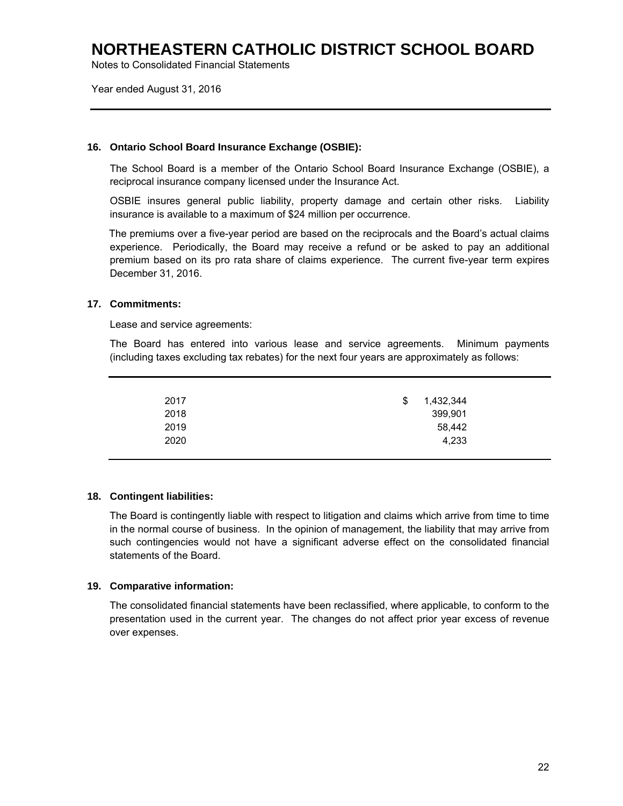Notes to Consolidated Financial Statements

Year ended August 31, 2016

#### **16. Ontario School Board Insurance Exchange (OSBIE):**

The School Board is a member of the Ontario School Board Insurance Exchange (OSBIE), a reciprocal insurance company licensed under the Insurance Act.

OSBIE insures general public liability, property damage and certain other risks. Liability insurance is available to a maximum of \$24 million per occurrence.

The premiums over a five-year period are based on the reciprocals and the Board's actual claims experience. Periodically, the Board may receive a refund or be asked to pay an additional premium based on its pro rata share of claims experience. The current five-year term expires December 31, 2016.

#### **17. Commitments:**

Lease and service agreements:

The Board has entered into various lease and service agreements. Minimum payments (including taxes excluding tax rebates) for the next four years are approximately as follows:

| 1,432,344<br>\$ |
|-----------------|
| 399,901         |
| 58,442          |
| 4,233           |
|                 |

#### **18. Contingent liabilities:**

The Board is contingently liable with respect to litigation and claims which arrive from time to time in the normal course of business. In the opinion of management, the liability that may arrive from such contingencies would not have a significant adverse effect on the consolidated financial statements of the Board.

#### **19. Comparative information:**

The consolidated financial statements have been reclassified, where applicable, to conform to the presentation used in the current year. The changes do not affect prior year excess of revenue over expenses.